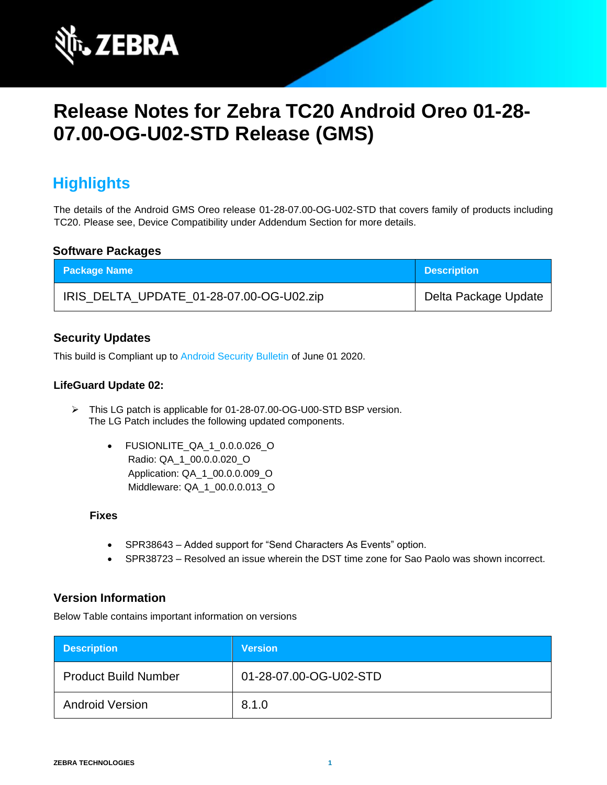

# **Release Notes for Zebra TC20 Android Oreo 01-28- 07.00-OG-U02-STD Release (GMS)**

# **Highlights**

The details of the Android GMS Oreo release 01-28-07.00-OG-U02-STD that covers family of products including TC20. Please see, Device Compatibility under Addendum Section for more details.

### **Software Packages**

| <b>Package Name</b>                      | <b>Description</b>   |
|------------------------------------------|----------------------|
| IRIS_DELTA_UPDATE_01-28-07.00-OG-U02.zip | Delta Package Update |

### **Security Updates**

This build is Compliant up to [Android Security Bulletin](https://source.android.com/security/bulletin/) of June 01 2020.

### **LifeGuard Update 02:**

- ➢ This LG patch is applicable for 01-28-07.00-OG-U00-STD BSP version. The LG Patch includes the following updated components.
	- FUSIONLITE\_QA\_1\_0.0.0.026\_O Radio: QA\_1\_00.0.0.020\_O Application: QA\_1\_00.0.0.009\_O Middleware: QA\_1\_00.0.0.013\_O

#### **Fixes**

- SPR38643 Added support for "Send Characters As Events" option.
- SPR38723 Resolved an issue wherein the DST time zone for Sao Paolo was shown incorrect.

### **Version Information**

Below Table contains important information on versions

| <b>Description</b>          | <b>Version</b>         |
|-----------------------------|------------------------|
| <b>Product Build Number</b> | 01-28-07.00-OG-U02-STD |
| <b>Android Version</b>      | 8.1.0                  |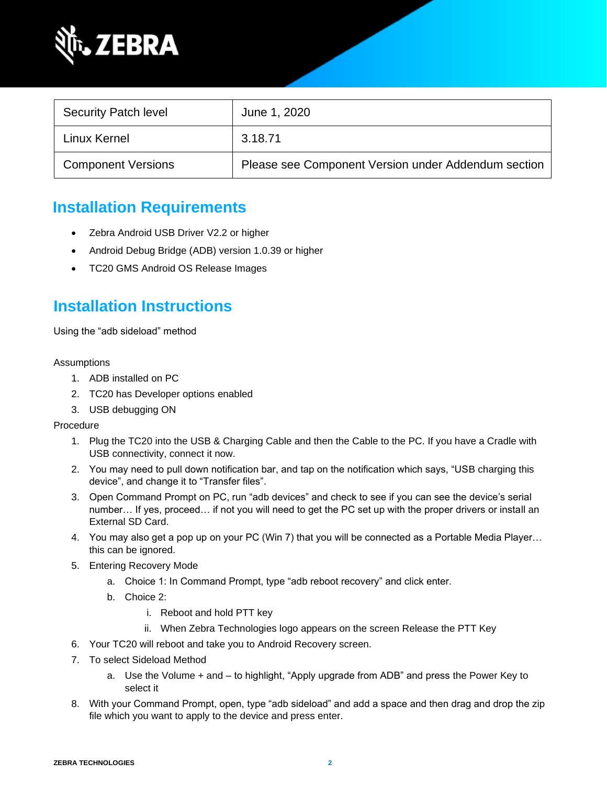

| <b>Security Patch level</b> | June 1, 2020                                        |
|-----------------------------|-----------------------------------------------------|
| Linux Kernel                | 3.18.71                                             |
| <b>Component Versions</b>   | Please see Component Version under Addendum section |

# **Installation Requirements**

- Zebra Android USB Driver V2.2 or higher
- Android Debug Bridge (ADB) version 1.0.39 or higher
- TC20 GMS Android OS Release Images

## **Installation Instructions**

Using the "adb sideload" method

#### Assumptions

- 1. ADB installed on PC
- 2. TC20 has Developer options enabled
- 3. USB debugging ON

Procedure

- 1. Plug the TC20 into the USB & Charging Cable and then the Cable to the PC. If you have a Cradle with USB connectivity, connect it now.
- 2. You may need to pull down notification bar, and tap on the notification which says, "USB charging this device", and change it to "Transfer files".
- 3. Open Command Prompt on PC, run "adb devices" and check to see if you can see the device's serial number… If yes, proceed… if not you will need to get the PC set up with the proper drivers or install an External SD Card.
- 4. You may also get a pop up on your PC (Win 7) that you will be connected as a Portable Media Player… this can be ignored.
- 5. Entering Recovery Mode
	- a. Choice 1: In Command Prompt, type "adb reboot recovery" and click enter.
	- b. Choice 2:
		- i. Reboot and hold PTT key
		- ii. When Zebra Technologies logo appears on the screen Release the PTT Key
- 6. Your TC20 will reboot and take you to Android Recovery screen.
- 7. To select Sideload Method
	- a. Use the Volume + and to highlight, "Apply upgrade from ADB" and press the Power Key to select it
- 8. With your Command Prompt, open, type "adb sideload" and add a space and then drag and drop the zip file which you want to apply to the device and press enter.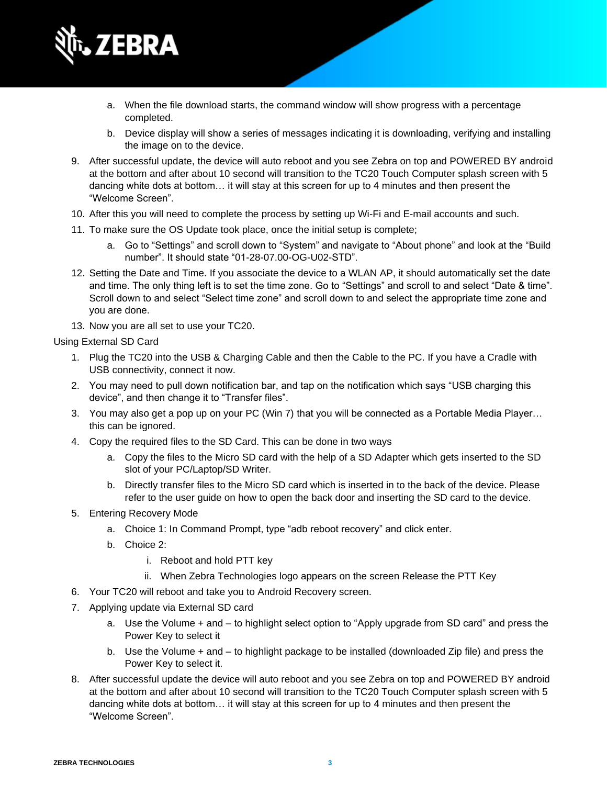

- a. When the file download starts, the command window will show progress with a percentage completed.
- b. Device display will show a series of messages indicating it is downloading, verifying and installing the image on to the device.
- 9. After successful update, the device will auto reboot and you see Zebra on top and POWERED BY android at the bottom and after about 10 second will transition to the TC20 Touch Computer splash screen with 5 dancing white dots at bottom… it will stay at this screen for up to 4 minutes and then present the "Welcome Screen".
- 10. After this you will need to complete the process by setting up Wi-Fi and E-mail accounts and such.
- 11. To make sure the OS Update took place, once the initial setup is complete;
	- a. Go to "Settings" and scroll down to "System" and navigate to "About phone" and look at the "Build number". It should state "01-28-07.00-OG-U02-STD".
- 12. Setting the Date and Time. If you associate the device to a WLAN AP, it should automatically set the date and time. The only thing left is to set the time zone. Go to "Settings" and scroll to and select "Date & time". Scroll down to and select "Select time zone" and scroll down to and select the appropriate time zone and you are done.
- 13. Now you are all set to use your TC20.

Using External SD Card

- 1. Plug the TC20 into the USB & Charging Cable and then the Cable to the PC. If you have a Cradle with USB connectivity, connect it now.
- 2. You may need to pull down notification bar, and tap on the notification which says "USB charging this device", and then change it to "Transfer files".
- 3. You may also get a pop up on your PC (Win 7) that you will be connected as a Portable Media Player… this can be ignored.
- 4. Copy the required files to the SD Card. This can be done in two ways
	- a. Copy the files to the Micro SD card with the help of a SD Adapter which gets inserted to the SD slot of your PC/Laptop/SD Writer.
	- b. Directly transfer files to the Micro SD card which is inserted in to the back of the device. Please refer to the user guide on how to open the back door and inserting the SD card to the device.
- 5. Entering Recovery Mode
	- a. Choice 1: In Command Prompt, type "adb reboot recovery" and click enter.
	- b. Choice 2:
		- i. Reboot and hold PTT key
		- ii. When Zebra Technologies logo appears on the screen Release the PTT Key
- 6. Your TC20 will reboot and take you to Android Recovery screen.
- 7. Applying update via External SD card
	- a. Use the Volume + and to highlight select option to "Apply upgrade from SD card" and press the Power Key to select it
	- b. Use the Volume + and to highlight package to be installed (downloaded Zip file) and press the Power Key to select it.
- 8. After successful update the device will auto reboot and you see Zebra on top and POWERED BY android at the bottom and after about 10 second will transition to the TC20 Touch Computer splash screen with 5 dancing white dots at bottom… it will stay at this screen for up to 4 minutes and then present the "Welcome Screen".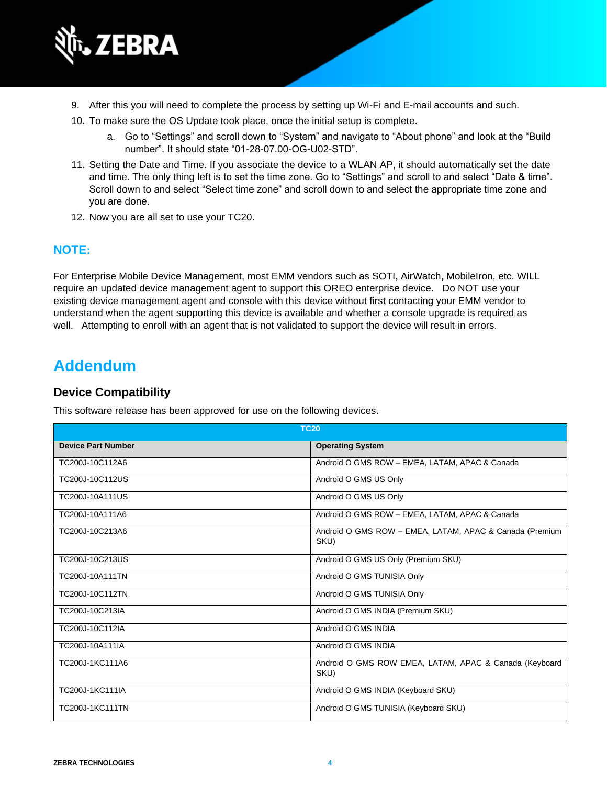

- 9. After this you will need to complete the process by setting up Wi-Fi and E-mail accounts and such.
- 10. To make sure the OS Update took place, once the initial setup is complete.
	- a. Go to "Settings" and scroll down to "System" and navigate to "About phone" and look at the "Build number". It should state "01-28-07.00-OG-U02-STD".
- 11. Setting the Date and Time. If you associate the device to a WLAN AP, it should automatically set the date and time. The only thing left is to set the time zone. Go to "Settings" and scroll to and select "Date & time". Scroll down to and select "Select time zone" and scroll down to and select the appropriate time zone and you are done.
- 12. Now you are all set to use your TC20.

### **NOTE:**

For Enterprise Mobile Device Management, most EMM vendors such as SOTI, AirWatch, MobileIron, etc. WILL require an updated device management agent to support this OREO enterprise device. Do NOT use your existing device management agent and console with this device without first contacting your EMM vendor to understand when the agent supporting this device is available and whether a console upgrade is required as well. Attempting to enroll with an agent that is not validated to support the device will result in errors.

## **Addendum**

### **Device Compatibility**

This software release has been approved for use on the following devices.

| <b>TC20</b>               |                                                                 |
|---------------------------|-----------------------------------------------------------------|
| <b>Device Part Number</b> | <b>Operating System</b>                                         |
| TC200J-10C112A6           | Android O GMS ROW - EMEA, LATAM, APAC & Canada                  |
| TC200J-10C112US           | Android O GMS US Only                                           |
| TC200J-10A111US           | Android O GMS US Only                                           |
| TC200J-10A111A6           | Android O GMS ROW - EMEA, LATAM, APAC & Canada                  |
| TC200J-10C213A6           | Android O GMS ROW - EMEA, LATAM, APAC & Canada (Premium<br>SKU) |
| TC200J-10C213US           | Android O GMS US Only (Premium SKU)                             |
| TC200J-10A111TN           | Android O GMS TUNISIA Only                                      |
| TC200J-10C112TN           | Android O GMS TUNISIA Only                                      |
| TC200J-10C213IA           | Android O GMS INDIA (Premium SKU)                               |
| TC200J-10C112IA           | Android O GMS INDIA                                             |
| TC200J-10A111IA           | Android O GMS INDIA                                             |
| TC200J-1KC111A6           | Android O GMS ROW EMEA, LATAM, APAC & Canada (Keyboard<br>SKU)  |
| TC200J-1KC111IA           | Android O GMS INDIA (Keyboard SKU)                              |
| <b>TC200J-1KC111TN</b>    | Android O GMS TUNISIA (Keyboard SKU)                            |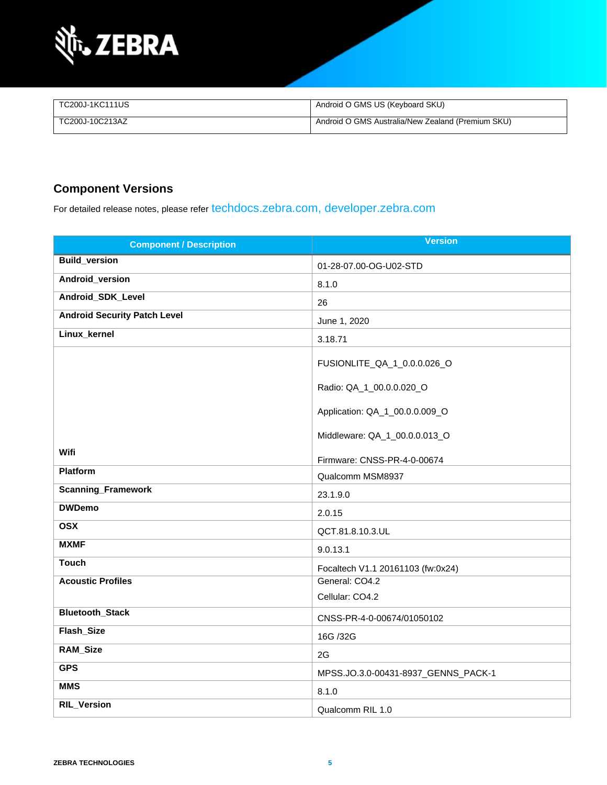

| TC200J-1KC111US | Android O GMS US (Keyboard SKU)                   |
|-----------------|---------------------------------------------------|
| TC200J-10C213AZ | Android O GMS Australia/New Zealand (Premium SKU) |

### **Component Versions**

For detailed release notes, please refer [techdocs.zebra.com,](https://techdocs.zebra.com/) [developer.zebra.com](https://developer.zebra.com/)

| <b>Component / Description</b>      | <b>Version</b>                      |
|-------------------------------------|-------------------------------------|
| <b>Build_version</b>                | 01-28-07.00-OG-U02-STD              |
| Android_version                     | 8.1.0                               |
| Android_SDK_Level                   | 26                                  |
| <b>Android Security Patch Level</b> | June 1, 2020                        |
| Linux_kernel                        | 3.18.71                             |
|                                     | FUSIONLITE_QA_1_0.0.0.026_O         |
|                                     | Radio: QA_1_00.0.0.020_O            |
|                                     | Application: QA_1_00.0.0.009_O      |
|                                     | Middleware: QA_1_00.0.0.013_O       |
| Wifi                                | Firmware: CNSS-PR-4-0-00674         |
| <b>Platform</b>                     | Qualcomm MSM8937                    |
| <b>Scanning_Framework</b>           | 23.1.9.0                            |
| <b>DWDemo</b>                       | 2.0.15                              |
| <b>OSX</b>                          | QCT.81.8.10.3.UL                    |
| <b>MXMF</b>                         | 9.0.13.1                            |
| <b>Touch</b>                        | Focaltech V1.1 20161103 (fw:0x24)   |
| <b>Acoustic Profiles</b>            | General: CO4.2                      |
|                                     | Cellular: CO4.2                     |
| Bluetooth_Stack                     | CNSS-PR-4-0-00674/01050102          |
| Flash_Size                          | 16G /32G                            |
| RAM_Size                            | 2G                                  |
| <b>GPS</b>                          | MPSS.JO.3.0-00431-8937_GENNS_PACK-1 |
| <b>MMS</b>                          | 8.1.0                               |
| <b>RIL_Version</b>                  | Qualcomm RIL 1.0                    |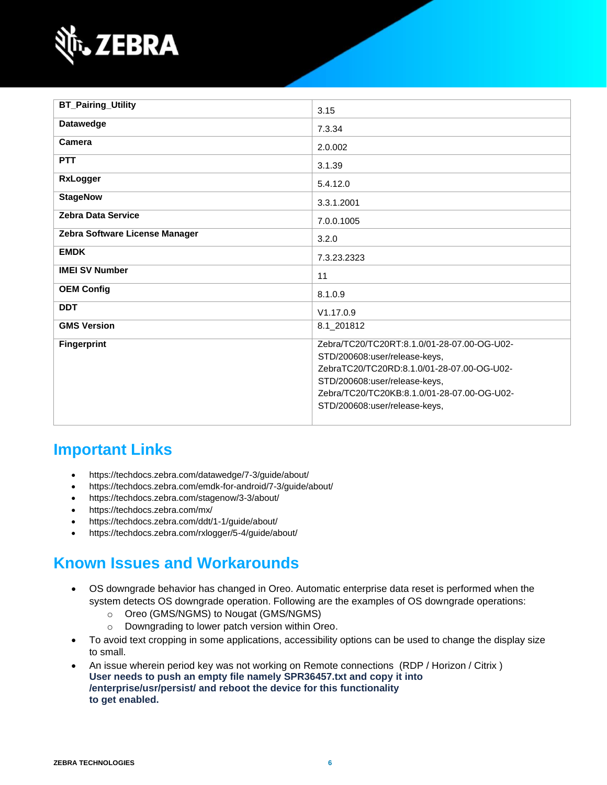

| <b>BT_Pairing_Utility</b>      | 3.15                                                                                                                                                                                                                                        |
|--------------------------------|---------------------------------------------------------------------------------------------------------------------------------------------------------------------------------------------------------------------------------------------|
| <b>Datawedge</b>               | 7.3.34                                                                                                                                                                                                                                      |
| Camera                         | 2.0.002                                                                                                                                                                                                                                     |
| <b>PTT</b>                     | 3.1.39                                                                                                                                                                                                                                      |
| <b>RxLogger</b>                | 5.4.12.0                                                                                                                                                                                                                                    |
| <b>StageNow</b>                | 3.3.1.2001                                                                                                                                                                                                                                  |
| <b>Zebra Data Service</b>      | 7.0.0.1005                                                                                                                                                                                                                                  |
| Zebra Software License Manager | 3.2.0                                                                                                                                                                                                                                       |
| <b>EMDK</b>                    | 7.3.23.2323                                                                                                                                                                                                                                 |
| <b>IMEI SV Number</b>          | 11                                                                                                                                                                                                                                          |
| <b>OEM Config</b>              | 8.1.0.9                                                                                                                                                                                                                                     |
| <b>DDT</b>                     | V1.17.0.9                                                                                                                                                                                                                                   |
| <b>GMS Version</b>             | 8.1_201812                                                                                                                                                                                                                                  |
| <b>Fingerprint</b>             | Zebra/TC20/TC20RT:8.1.0/01-28-07.00-OG-U02-<br>STD/200608:user/release-keys,<br>ZebraTC20/TC20RD:8.1.0/01-28-07.00-OG-U02-<br>STD/200608:user/release-keys,<br>Zebra/TC20/TC20KB:8.1.0/01-28-07.00-OG-U02-<br>STD/200608:user/release-keys, |

# **Important Links**

- <https://techdocs.zebra.com/datawedge/7-3/guide/about/>
- <https://techdocs.zebra.com/emdk-for-android/7-3/guide/about/>
- <https://techdocs.zebra.com/stagenow/3-3/about/>
- <https://techdocs.zebra.com/mx/>
- <https://techdocs.zebra.com/ddt/1-1/guide/about/>
- <https://techdocs.zebra.com/rxlogger/5-4/guide/about/>

# **Known Issues and Workarounds**

- OS downgrade behavior has changed in Oreo. Automatic enterprise data reset is performed when the system detects OS downgrade operation. Following are the examples of OS downgrade operations:
	- o Oreo (GMS/NGMS) to Nougat (GMS/NGMS)
	- o Downgrading to lower patch version within Oreo.
- To avoid text cropping in some applications, accessibility options can be used to change the display size to small.
- An issue wherein period key was not working on Remote connections (RDP / Horizon / Citrix ) **User needs to push an empty file namely SPR36457.txt and copy it into /enterprise/usr/persist/ and reboot the device for this functionality to get enabled.**